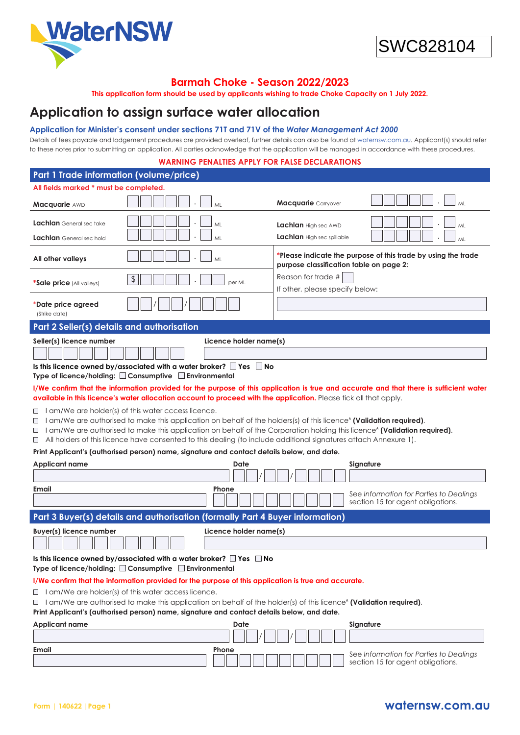



# **Barmah Choke - Season 2022/2023**

**This application form should be used by applicants wishing to trade Choke Capacity on 1 July 2022.**

# **Application to assign surface water allocation**

# **Application for Minister's consent under sections 71T and 71V of the** *Water Management Act 2000*

Details of fees payable and lodgement procedures are provided overleaf, further details can also be found at [waternsw.com.au](https://www.waternsw.com.au/). Applicant(s) should refer to these notes prior to submitting an application. All parties acknowledge that the application will be managed in accordance with these procedures.

# **WARNING PENALTIES APPLY FOR FALSE DECLARATIONS**

| Part 1 Trade information (volume/price)                                                                                                                                                                                                                                                                                                                                                                                                                                                                                                                                                                                                                                                                                                                                                                                                                                                                                                                                                                                                                                                                                                                                                                        |                                                                                                          |  |  |  |
|----------------------------------------------------------------------------------------------------------------------------------------------------------------------------------------------------------------------------------------------------------------------------------------------------------------------------------------------------------------------------------------------------------------------------------------------------------------------------------------------------------------------------------------------------------------------------------------------------------------------------------------------------------------------------------------------------------------------------------------------------------------------------------------------------------------------------------------------------------------------------------------------------------------------------------------------------------------------------------------------------------------------------------------------------------------------------------------------------------------------------------------------------------------------------------------------------------------|----------------------------------------------------------------------------------------------------------|--|--|--|
| All fields marked * must be completed.                                                                                                                                                                                                                                                                                                                                                                                                                                                                                                                                                                                                                                                                                                                                                                                                                                                                                                                                                                                                                                                                                                                                                                         |                                                                                                          |  |  |  |
| Macquarie AWD<br>ML                                                                                                                                                                                                                                                                                                                                                                                                                                                                                                                                                                                                                                                                                                                                                                                                                                                                                                                                                                                                                                                                                                                                                                                            | <b>Macquarie</b> Carryover<br>ML                                                                         |  |  |  |
| Lachlan General sec take<br>ML<br>Lachlan General sec hold<br>MI                                                                                                                                                                                                                                                                                                                                                                                                                                                                                                                                                                                                                                                                                                                                                                                                                                                                                                                                                                                                                                                                                                                                               | Lachlan High sec AWD<br>ML<br>Lachlan High sec spillable<br>ML                                           |  |  |  |
| All other valleys<br>MI                                                                                                                                                                                                                                                                                                                                                                                                                                                                                                                                                                                                                                                                                                                                                                                                                                                                                                                                                                                                                                                                                                                                                                                        | *Please indicate the purpose of this trade by using the trade<br>purpose classification table on page 2: |  |  |  |
| \$<br><b>*Sale price</b> (All valleys)                                                                                                                                                                                                                                                                                                                                                                                                                                                                                                                                                                                                                                                                                                                                                                                                                                                                                                                                                                                                                                                                                                                                                                         | Reason for trade #<br>per ML<br>If other, please specify below:                                          |  |  |  |
| *Date price agreed<br>(Strike date)                                                                                                                                                                                                                                                                                                                                                                                                                                                                                                                                                                                                                                                                                                                                                                                                                                                                                                                                                                                                                                                                                                                                                                            |                                                                                                          |  |  |  |
| Part 2 Seller(s) details and authorisation                                                                                                                                                                                                                                                                                                                                                                                                                                                                                                                                                                                                                                                                                                                                                                                                                                                                                                                                                                                                                                                                                                                                                                     |                                                                                                          |  |  |  |
| Seller(s) licence number<br>Licence holder name(s)<br>Is this licence owned by/associated with a water broker? $\Box$ Yes $\Box$ No<br>Type of licence/holding: $\square$ Consumptive $\square$ Environmental<br>I/We confirm that the information provided for the purpose of this application is true and accurate and that there is sufficient water<br>available in this licence's water allocation account to proceed with the application. Please tick all that apply.<br>$\Box$ I am/We are holder(s) of this water cccess licence.<br>I am/We are authorised to make this application on behalf of the holders(s) of this licence <sup>4</sup> (Validation required).<br>$\Box$<br>□ 1 am/We are authorised to make this application on behalf of the Corporation holding this licence <sup>*</sup> (Validation required).<br>All holders of this licence have consented to this dealing (to include additional signatures attach Annexure 1).<br>$\Box$<br>Print Applicant's (authorised person) name, signature and contact details below, and date.<br><b>Applicant name</b><br>Date<br>Signature<br>Email<br>Phone<br>See Information for Parties to Dealings<br>section 15 for agent obligations. |                                                                                                          |  |  |  |
| Part 3 Buyer(s) details and authorisation (formally Part 4 Buyer information)                                                                                                                                                                                                                                                                                                                                                                                                                                                                                                                                                                                                                                                                                                                                                                                                                                                                                                                                                                                                                                                                                                                                  |                                                                                                          |  |  |  |
| <b>Buyer(s) licence number</b><br>Licence holder name(s)<br>Is this licence owned by/associated with a water broker? $\Box$ Yes $\Box$ No<br>Type of licence/holding: □ Consumptive □ Environmental<br>I/We confirm that the information provided for the purpose of this application is true and accurate.<br>$\Box$ I am/We are holder(s) of this water access licence.<br>$\Box$ I am/We are authorised to make this application on behalf of the holder(s) of this licence <sup>*</sup> (Validation required).<br>Print Applicant's (authorised person) name, signature and contact details below, and date.                                                                                                                                                                                                                                                                                                                                                                                                                                                                                                                                                                                               |                                                                                                          |  |  |  |
| <b>Applicant name</b>                                                                                                                                                                                                                                                                                                                                                                                                                                                                                                                                                                                                                                                                                                                                                                                                                                                                                                                                                                                                                                                                                                                                                                                          | Date<br>Signature                                                                                        |  |  |  |
|                                                                                                                                                                                                                                                                                                                                                                                                                                                                                                                                                                                                                                                                                                                                                                                                                                                                                                                                                                                                                                                                                                                                                                                                                |                                                                                                          |  |  |  |
| Email<br>Phone                                                                                                                                                                                                                                                                                                                                                                                                                                                                                                                                                                                                                                                                                                                                                                                                                                                                                                                                                                                                                                                                                                                                                                                                 | See Information for Parties to Dealings<br>section 15 for agent obligations.                             |  |  |  |

# **Form | 140622 | Page 1 waternsw.com.au**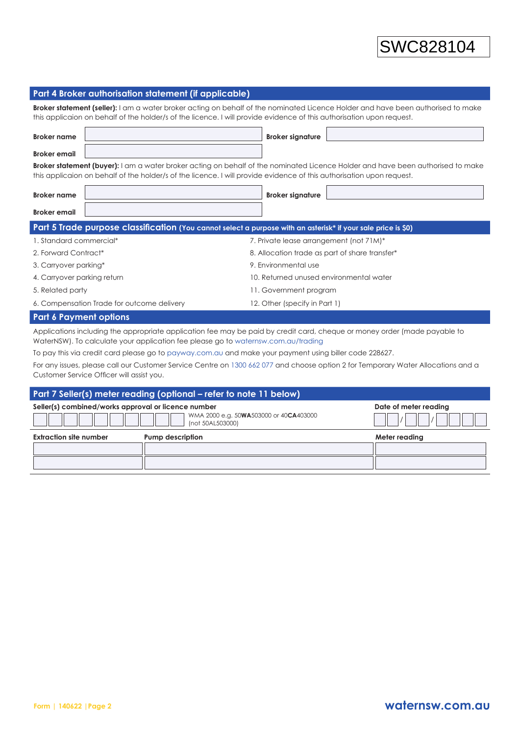# **Part 4 Broker authorisation statement (if applicable)**

**Broker statement (seller):** I am a water broker acting on behalf of the nominated Licence Holder and have been authorised to make this applicaion on behalf of the holder/s of the licence. I will provide evidence of this authorisation upon request.

| <b>Broker name</b> | Broker signature |  |
|--------------------|------------------|--|
| Broker email       |                  |  |

**Broker statement (buyer):** I am a water broker acting on behalf of the nominated Licence Holder and have been authorised to make this applicaion on behalf of the holder/s of the licence. I will provide evidence of this authorisation upon request.

| Broker name  |                                                                                                                                                                                                                                       | Broker signature |   |
|--------------|---------------------------------------------------------------------------------------------------------------------------------------------------------------------------------------------------------------------------------------|------------------|---|
| Broker email |                                                                                                                                                                                                                                       |                  |   |
|              | $\mathbf{A}$ and $\mathbf{A}$ are assumed to the contract of the contract of the contract of the contract of the contract of the contract of the contract of the contract of the contract of the contract of the contract of the cont | .                | . |

| Part 5 Trade purpose classification (You cannot select a purpose with an asterisk* if your sale price is \$0) |                                                |  |  |  |
|---------------------------------------------------------------------------------------------------------------|------------------------------------------------|--|--|--|
| 1. Standard commercial*                                                                                       | 7. Private lease arrangement (not 71M)*        |  |  |  |
| 2. Forward Contract*                                                                                          | 8. Allocation trade as part of share transfer* |  |  |  |
| 3. Carryover parking*                                                                                         | 9. Environmental use                           |  |  |  |
| 4. Carryover parking return                                                                                   | 10. Returned unused environmental water        |  |  |  |
| 5. Related party                                                                                              | 11. Government program                         |  |  |  |
| 6. Compensation Trade for outcome delivery                                                                    | 12. Other (specify in Part 1)                  |  |  |  |
|                                                                                                               |                                                |  |  |  |

# **Part 6 Payment options**

Applications including the appropriate application fee may be paid by credit card, cheque or money order (made payable to WaterNSW). To calculate your application fee please go to [waternsw.com.au/trading](https://www.waternsw.com.au/customer-service/ordering-trading-and-pricing/trading)

To pay this via credit card please go to [payway.com.au](https://www.payway.com.au/) and make your payment using biller code 228627.

For any issues, please call our Customer Service Centre on 1300 662 077 and choose option 2 for Temporary Water Allocations and a Customer Service Officer will assist you.

|                                                                                                                   | Part 7 Seller(s) meter reading (optional – refer to note 11 below) |                       |
|-------------------------------------------------------------------------------------------------------------------|--------------------------------------------------------------------|-----------------------|
| Seller(s) combined/works approval or licence number<br>WMA 2000 e.g. 50WA503000 or 40CA403000<br>(not 50AL503000) |                                                                    | Date of meter reading |
| <b>Extraction site number</b>                                                                                     | <b>Pump description</b>                                            | Meter reading         |
|                                                                                                                   |                                                                    |                       |